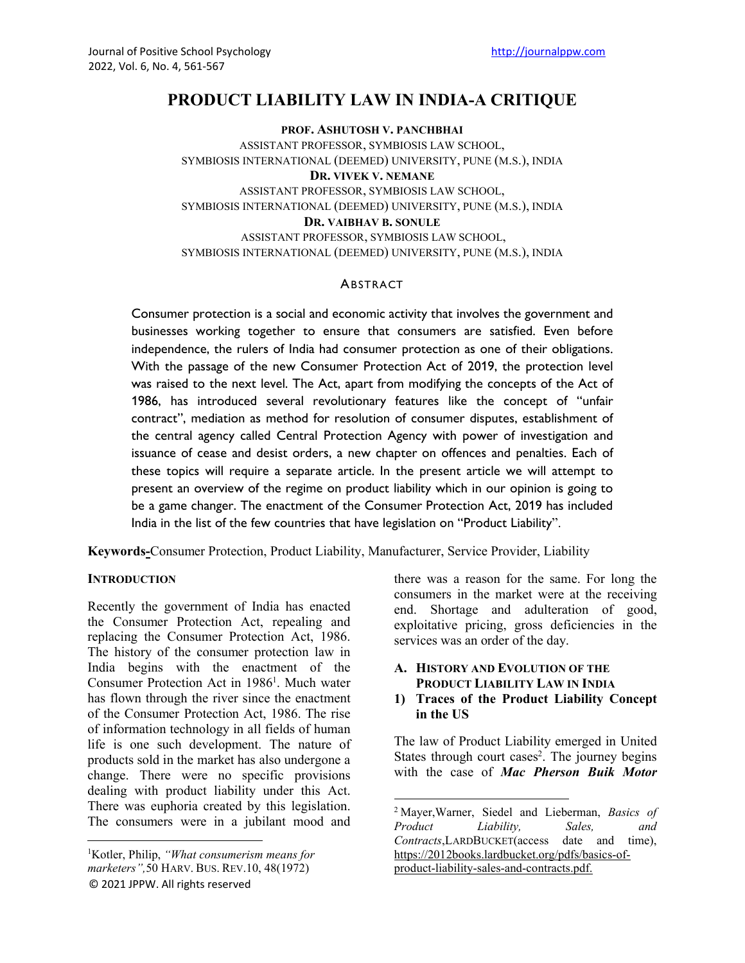# **PRODUCT LIABILITY LAW IN INDIA-A CRITIQUE**

**PROF. ASHUTOSH V. PANCHBHAI** ASSISTANT PROFESSOR, SYMBIOSIS LAW SCHOOL, SYMBIOSIS INTERNATIONAL (DEEMED) UNIVERSITY, PUNE (M.S.), INDIA **DR. VIVEK V. NEMANE** ASSISTANT PROFESSOR, SYMBIOSIS LAW SCHOOL, SYMBIOSIS INTERNATIONAL (DEEMED) UNIVERSITY, PUNE (M.S.), INDIA **DR. VAIBHAV B. SONULE** ASSISTANT PROFESSOR, SYMBIOSIS LAW SCHOOL,

SYMBIOSIS INTERNATIONAL (DEEMED) UNIVERSITY, PUNE (M.S.), INDIA

#### ABSTRACT

Consumer protection is a social and economic activity that involves the government and businesses working together to ensure that consumers are satisfied. Even before independence, the rulers of India had consumer protection as one of their obligations. With the passage of the new Consumer Protection Act of 2019, the protection level was raised to the next level. The Act, apart from modifying the concepts of the Act of 1986, has introduced several revolutionary features like the concept of "unfair contract", mediation as method for resolution of consumer disputes, establishment of the central agency called Central Protection Agency with power of investigation and issuance of cease and desist orders, a new chapter on offences and penalties. Each of these topics will require a separate article. In the present article we will attempt to present an overview of the regime on product liability which in our opinion is going to be a game changer. The enactment of the Consumer Protection Act, 2019 has included India in the list of the few countries that have legislation on "Product Liability".

**Keywords-**Consumer Protection, Product Liability, Manufacturer, Service Provider, Liability

#### **INTRODUCTION**

Recently the government of India has enacted the Consumer Protection Act, repealing and replacing the Consumer Protection Act, 1986. The history of the consumer protection law in India begins with the enactment of the Consumer Protection Act in 1986<sup>1</sup>. Much water has flown through the river since the enactment of the Consumer Protection Act, 1986. The rise of information technology in all fields of human life is one such development. The nature of products sold in the market has also undergone a change. There were no specific provisions dealing with product liability under this Act. There was euphoria created by this legislation. The consumers were in a jubilant mood and there was a reason for the same. For long the consumers in the market were at the receiving end. Shortage and adulteration of good, exploitative pricing, gross deficiencies in the services was an order of the day.

#### **A. HISTORY AND EVOLUTION OF THE PRODUCT LIABILITY LAW IN INDIA**

### **1) Traces of the Product Liability Concept in the US**

The law of Product Liability emerged in United States through court cases<sup>2</sup>. The journey begins with the case of *Mac Pherson Buik Motor* 

<sup>© 2021</sup> JPPW. All rights reserved 1 Kotler, Philip, *"What consumerism means for marketers",*50 HARV. BUS. REV.10, 48(1972)

<sup>2</sup> Mayer,Warner, Siedel and Lieberman, *Basics of Product Liability, Sales, and Contracts*,LARDBUCKET(access date and time), [https://2012books.lardbucket.org/pdfs/basics-of](https://2012books.lardbucket.org/pdfs/basics-of-product-liability-sales-and-contracts.pdf)[product-liability-sales-and-contracts.pdf.](https://2012books.lardbucket.org/pdfs/basics-of-product-liability-sales-and-contracts.pdf)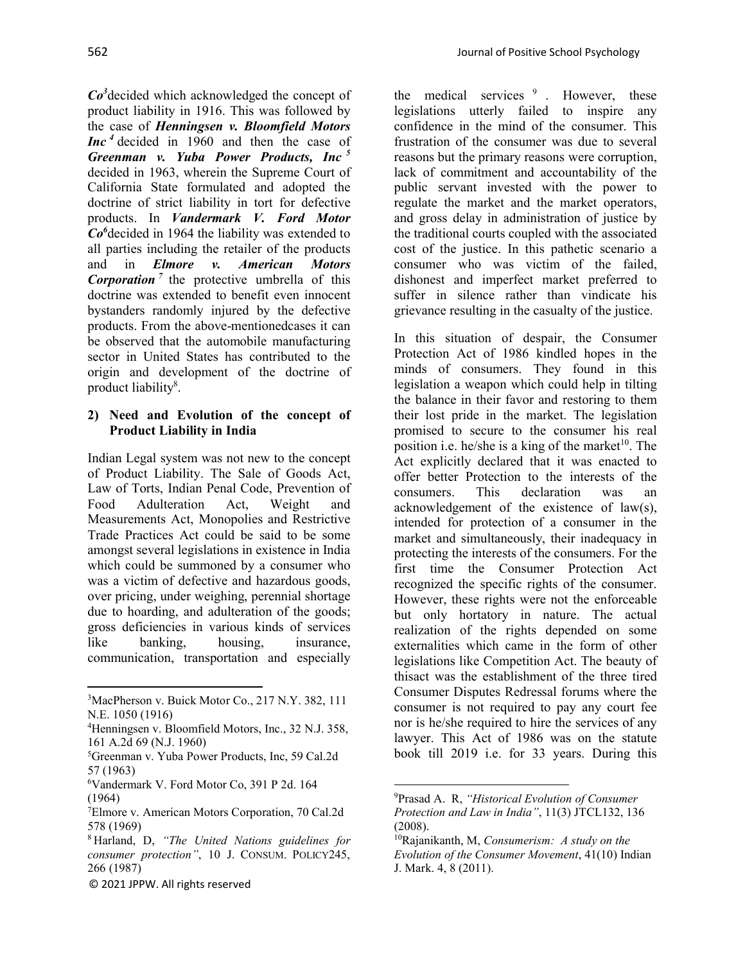*Co3* decided which acknowledged the concept of product liability in 1916. This was followed by the case of *Henningsen v. Bloomfield Motors Inc*<sup>4</sup> decided in 1960 and then the case of *Greenman v. Yuba Power Products, Inc <sup>5</sup>* decided in 1963, wherein the Supreme Court of California State formulated and adopted the doctrine of strict liability in tort for defective products. In *Vandermark V. Ford Motor*  Co<sup>6</sup> decided in 1964 the liability was extended to all parties including the retailer of the products and in *Elmore v. American Motors Corporation <sup>7</sup>* the protective umbrella of this doctrine was extended to benefit even innocent bystanders randomly injured by the defective products. From the above-mentionedcases it can be observed that the automobile manufacturing sector in United States has contributed to the origin and development of the doctrine of product liability<sup>8</sup>.

### **2) Need and Evolution of the concept of Product Liability in India**

Indian Legal system was not new to the concept of Product Liability. The Sale of Goods Act, Law of Torts, Indian Penal Code, Prevention of Food Adulteration Act, Weight and Measurements Act, Monopolies and Restrictive Trade Practices Act could be said to be some amongst several legislations in existence in India which could be summoned by a consumer who was a victim of defective and hazardous goods, over pricing, under weighing, perennial shortage due to hoarding, and adulteration of the goods; gross deficiencies in various kinds of services like banking, housing, insurance, communication, transportation and especially

6 Vandermark V. Ford Motor Co, 391 P 2d. 164 (1964)

the medical services  $9$ . However, these legislations utterly failed to inspire any confidence in the mind of the consumer. This frustration of the consumer was due to several reasons but the primary reasons were corruption, lack of commitment and accountability of the public servant invested with the power to regulate the market and the market operators, and gross delay in administration of justice by the traditional courts coupled with the associated cost of the justice. In this pathetic scenario a consumer who was victim of the failed, dishonest and imperfect market preferred to suffer in silence rather than vindicate his grievance resulting in the casualty of the justice.

In this situation of despair, the Consumer Protection Act of 1986 kindled hopes in the minds of consumers. They found in this legislation a weapon which could help in tilting the balance in their favor and restoring to them their lost pride in the market. The legislation promised to secure to the consumer his real position i.e. he/she is a king of the market $10$ . The Act explicitly declared that it was enacted to offer better Protection to the interests of the consumers. This declaration was an acknowledgement of the existence of law(s), intended for protection of a consumer in the market and simultaneously, their inadequacy in protecting the interests of the consumers. For the first time the Consumer Protection Act recognized the specific rights of the consumer. However, these rights were not the enforceable but only hortatory in nature. The actual realization of the rights depended on some externalities which came in the form of other legislations like Competition Act. The beauty of thisact was the establishment of the three tired Consumer Disputes Redressal forums where the consumer is not required to pay any court fee nor is he/she required to hire the services of any lawyer. This Act of 1986 was on the statute book till 2019 i.e. for 33 years. During this

<sup>3</sup> MacPherson v. Buick Motor Co., 217 N.Y. 382, 111 N.E. 1050 (1916)

<sup>4</sup> Henningsen v. Bloomfield Motors, Inc., 32 N.J. 358, 161 A.2d 69 (N.J. 1960)

<sup>5</sup> Greenman v. Yuba Power Products, Inc, 59 Cal.2d 57 (1963)

<sup>7</sup> Elmore v. American Motors Corporation, 70 Cal.2d 578 (1969)

<sup>8</sup> Harland, D, *"The United Nations guidelines for consumer protection"*, 10 J. CONSUM. POLICY245, 266 (1987)

<sup>© 2021</sup> JPPW. All rights reserved

<sup>9</sup> Prasad A. R, *"Historical Evolution of Consumer Protection and Law in India"*, 11(3) JTCL132, 136 (2008).

<sup>10</sup>Rajanikanth, M, *Consumerism: A study on the Evolution of the Consumer Movement*, 41(10) Indian J. Mark. 4, 8 (2011).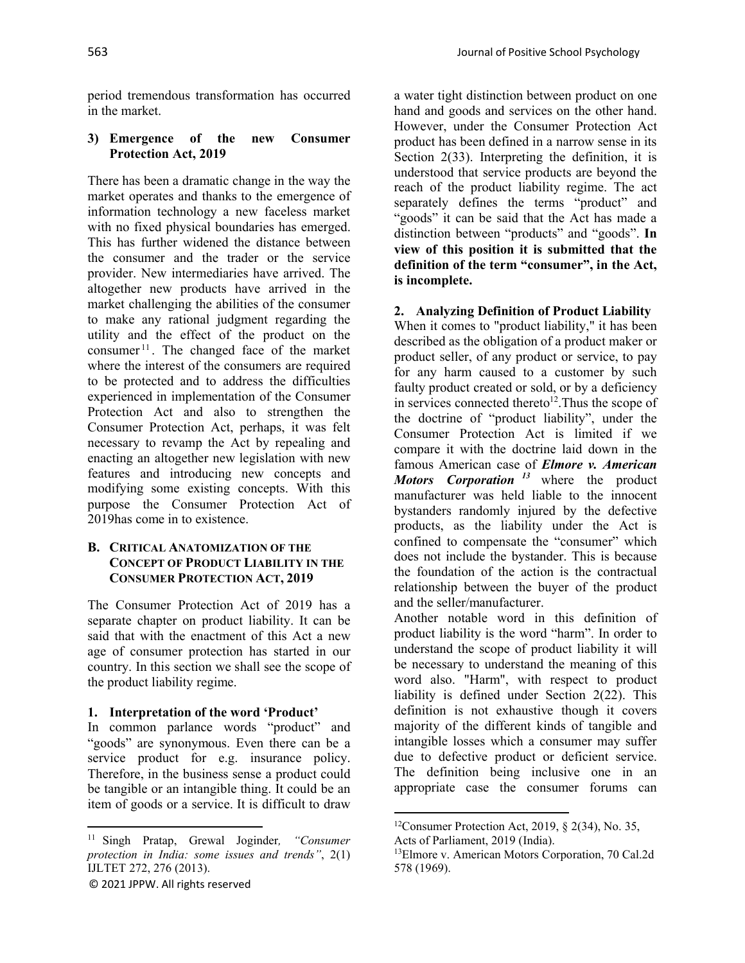period tremendous transformation has occurred in the market.

#### **3) Emergence of the new Consumer Protection Act, 2019**

There has been a dramatic change in the way the market operates and thanks to the emergence of information technology a new faceless market with no fixed physical boundaries has emerged. This has further widened the distance between the consumer and the trader or the service provider. New intermediaries have arrived. The altogether new products have arrived in the market challenging the abilities of the consumer to make any rational judgment regarding the utility and the effect of the product on the consumer <sup>11</sup> . The changed face of the market where the interest of the consumers are required to be protected and to address the difficulties experienced in implementation of the Consumer Protection Act and also to strengthen the Consumer Protection Act, perhaps, it was felt necessary to revamp the Act by repealing and enacting an altogether new legislation with new features and introducing new concepts and modifying some existing concepts. With this purpose the Consumer Protection Act of 2019has come in to existence.

### **B. CRITICAL ANATOMIZATION OF THE CONCEPT OF PRODUCT LIABILITY IN THE CONSUMER PROTECTION ACT, 2019**

The Consumer Protection Act of 2019 has a separate chapter on product liability. It can be said that with the enactment of this Act a new age of consumer protection has started in our country. In this section we shall see the scope of the product liability regime.

#### **1. Interpretation of the word 'Product'**

In common parlance words "product" and "goods" are synonymous. Even there can be a service product for e.g. insurance policy. Therefore, in the business sense a product could be tangible or an intangible thing. It could be an item of goods or a service. It is difficult to draw

© 2021 JPPW. All rights reserved

a water tight distinction between product on one hand and goods and services on the other hand. However, under the Consumer Protection Act product has been defined in a narrow sense in its Section 2(33). Interpreting the definition, it is understood that service products are beyond the reach of the product liability regime. The act separately defines the terms "product" and "goods" it can be said that the Act has made a distinction between "products" and "goods". **In view of this position it is submitted that the definition of the term "consumer", in the Act, is incomplete.** 

#### **2. Analyzing Definition of Product Liability**

When it comes to "product liability," it has been described as the obligation of a product maker or product seller, of any product or service, to pay for any harm caused to a customer by such faulty product created or sold, or by a deficiency in services connected thereto<sup>12</sup>. Thus the scope of the doctrine of "product liability", under the Consumer Protection Act is limited if we compare it with the doctrine laid down in the famous American case of *Elmore v. American Motors Corporation <sup>13</sup>* where the product manufacturer was held liable to the innocent bystanders randomly injured by the defective products, as the liability under the Act is confined to compensate the "consumer" which does not include the bystander. This is because the foundation of the action is the contractual relationship between the buyer of the product and the seller/manufacturer.

Another notable word in this definition of product liability is the word "harm". In order to understand the scope of product liability it will be necessary to understand the meaning of this word also. "Harm", with respect to product liability is defined under Section 2(22). This definition is not exhaustive though it covers majority of the different kinds of tangible and intangible losses which a consumer may suffer due to defective product or deficient service. The definition being inclusive one in an appropriate case the consumer forums can

<sup>11</sup> Singh Pratap, Grewal Joginder*, "Consumer protection in India: some issues and trends"*, 2(1) IJLTET 272, 276 (2013).

<sup>&</sup>lt;sup>12</sup>Consumer Protection Act, 2019,  $\S$  2(34), No. 35, Acts of Parliament, 2019 (India).

<sup>&</sup>lt;sup>13</sup>Elmore v. American Motors Corporation, 70 Cal.2d 578 (1969).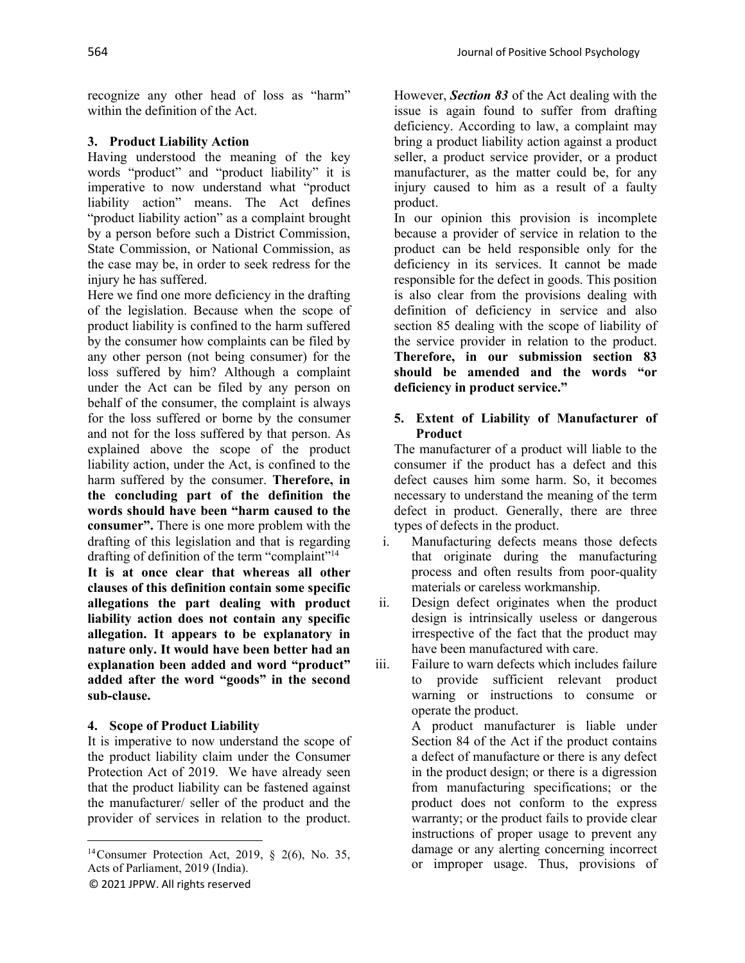recognize any other head of loss as "harm" within the definition of the Act.

### **3. Product Liability Action**

Having understood the meaning of the key words "product" and "product liability" it is imperative to now understand what "product liability action" means. The Act defines "product liability action" as a complaint brought by a person before such a District Commission, State Commission, or National Commission, as the case may be, in order to seek redress for the injury he has suffered.

Here we find one more deficiency in the drafting of the legislation. Because when the scope of product liability is confined to the harm suffered by the consumer how complaints can be filed by any other person (not being consumer) for the loss suffered by him? Although a complaint under the Act can be filed by any person on behalf of the consumer, the complaint is always for the loss suffered or borne by the consumer and not for the loss suffered by that person. As explained above the scope of the product liability action, under the Act, is confined to the harm suffered by the consumer. **Therefore, in the concluding part of the definition the words should have been "harm caused to the consumer".** There is one more problem with the drafting of this legislation and that is regarding drafting of definition of the term "complaint"14

**It is at once clear that whereas all other clauses of this definition contain some specific allegations the part dealing with product liability action does not contain any specific allegation. It appears to be explanatory in nature only. It would have been better had an explanation been added and word "product" added after the word "goods" in the second sub-clause.** 

### **4. Scope of Product Liability**

It is imperative to now understand the scope of the product liability claim under the Consumer Protection Act of 2019. We have already seen that the product liability can be fastened against the manufacturer/ seller of the product and the provider of services in relation to the product.

© 2021 JPPW. All rights reserved

However, *Section 83* of the Act dealing with the issue is again found to suffer from drafting deficiency. According to law, a complaint may bring a product liability action against a product seller, a product service provider, or a product manufacturer, as the matter could be, for any injury caused to him as a result of a faulty product.

In our opinion this provision is incomplete because a provider of service in relation to the product can be held responsible only for the deficiency in its services. It cannot be made responsible for the defect in goods. This position is also clear from the provisions dealing with definition of deficiency in service and also section 85 dealing with the scope of liability of the service provider in relation to the product. **Therefore, in our submission section 83 should be amended and the words "or deficiency in product service."** 

### **5. Extent of Liability of Manufacturer of Product**

The manufacturer of a product will liable to the consumer if the product has a defect and this defect causes him some harm. So, it becomes necessary to understand the meaning of the term defect in product. Generally, there are three types of defects in the product.

- i. Manufacturing defects means those defects that originate during the manufacturing process and often results from poor-quality materials or careless workmanship.
- ii. Design defect originates when the product design is intrinsically useless or dangerous irrespective of the fact that the product may have been manufactured with care.
- iii. Failure to warn defects which includes failure to provide sufficient relevant product warning or instructions to consume or operate the product.

A product manufacturer is liable under Section 84 of the Act if the product contains a defect of manufacture or there is any defect in the product design; or there is a digression from manufacturing specifications; or the product does not conform to the express warranty; or the product fails to provide clear instructions of proper usage to prevent any damage or any alerting concerning incorrect or improper usage. Thus, provisions of

<sup>&</sup>lt;sup>14</sup>Consumer Protection Act, 2019,  $\S$  2(6), No. 35, Acts of Parliament, 2019 (India).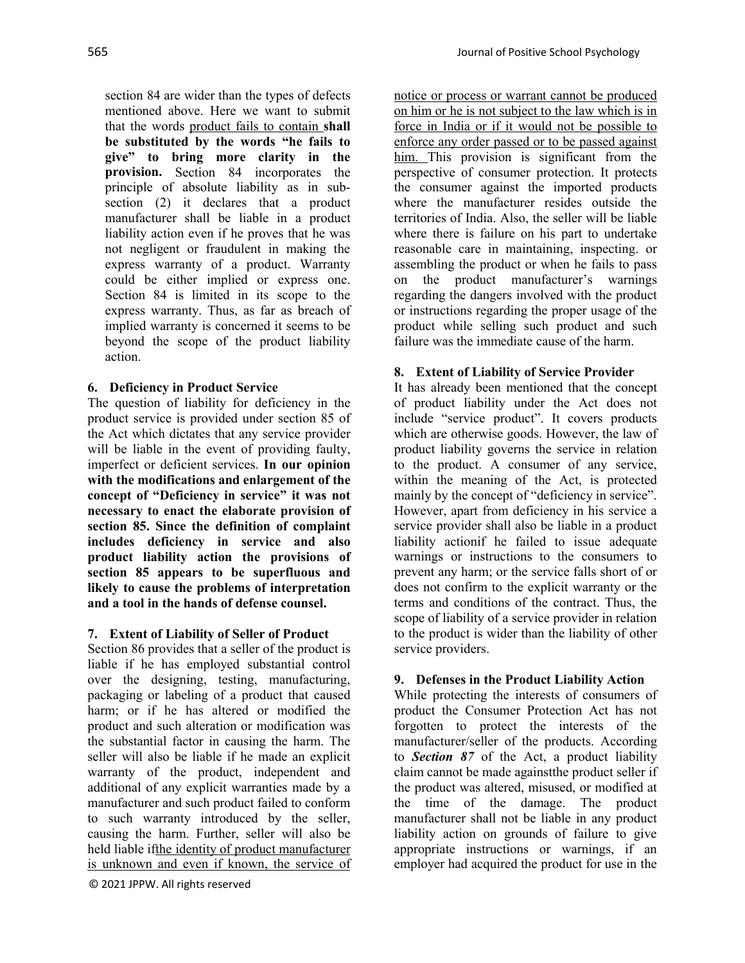section 84 are wider than the types of defects mentioned above. Here we want to submit that the words product fails to contain **shall be substituted by the words "he fails to give" to bring more clarity in the provision.** Section 84 incorporates the principle of absolute liability as in subsection (2) it declares that a product manufacturer shall be liable in a product liability action even if he proves that he was not negligent or fraudulent in making the express warranty of a product. Warranty could be either implied or express one. Section 84 is limited in its scope to the express warranty. Thus, as far as breach of implied warranty is concerned it seems to be beyond the scope of the product liability action.

## **6. Deficiency in Product Service**

The question of liability for deficiency in the product service is provided under section 85 of the Act which dictates that any service provider will be liable in the event of providing faulty, imperfect or deficient services. **In our opinion with the modifications and enlargement of the concept of "Deficiency in service" it was not necessary to enact the elaborate provision of section 85. Since the definition of complaint includes deficiency in service and also product liability action the provisions of section 85 appears to be superfluous and likely to cause the problems of interpretation and a tool in the hands of defense counsel.**

### **7. Extent of Liability of Seller of Product**

Section 86 provides that a seller of the product is liable if he has employed substantial control over the designing, testing, manufacturing, packaging or labeling of a product that caused harm; or if he has altered or modified the product and such alteration or modification was the substantial factor in causing the harm. The seller will also be liable if he made an explicit warranty of the product, independent and additional of any explicit warranties made by a manufacturer and such product failed to conform to such warranty introduced by the seller, causing the harm. Further, seller will also be held liable ifthe identity of product manufacturer is unknown and even if known, the service of

notice or process or warrant cannot be produced on him or he is not subject to the law which is in force in India or if it would not be possible to enforce any order passed or to be passed against him. This provision is significant from the perspective of consumer protection. It protects the consumer against the imported products where the manufacturer resides outside the territories of India. Also, the seller will be liable where there is failure on his part to undertake reasonable care in maintaining, inspecting. or assembling the product or when he fails to pass on the product manufacturer's warnings regarding the dangers involved with the product or instructions regarding the proper usage of the product while selling such product and such failure was the immediate cause of the harm.

## **8. Extent of Liability of Service Provider**

It has already been mentioned that the concept of product liability under the Act does not include "service product". It covers products which are otherwise goods. However, the law of product liability governs the service in relation to the product. A consumer of any service, within the meaning of the Act, is protected mainly by the concept of "deficiency in service". However, apart from deficiency in his service a service provider shall also be liable in a product liability actionif he failed to issue adequate warnings or instructions to the consumers to prevent any harm; or the service falls short of or does not confirm to the explicit warranty or the terms and conditions of the contract. Thus, the scope of liability of a service provider in relation to the product is wider than the liability of other service providers.

## **9. Defenses in the Product Liability Action**

While protecting the interests of consumers of product the Consumer Protection Act has not forgotten to protect the interests of the manufacturer/seller of the products. According to *Section 87* of the Act, a product liability claim cannot be made againstthe product seller if the product was altered, misused, or modified at the time of the damage. The product manufacturer shall not be liable in any product liability action on grounds of failure to give appropriate instructions or warnings, if an employer had acquired the product for use in the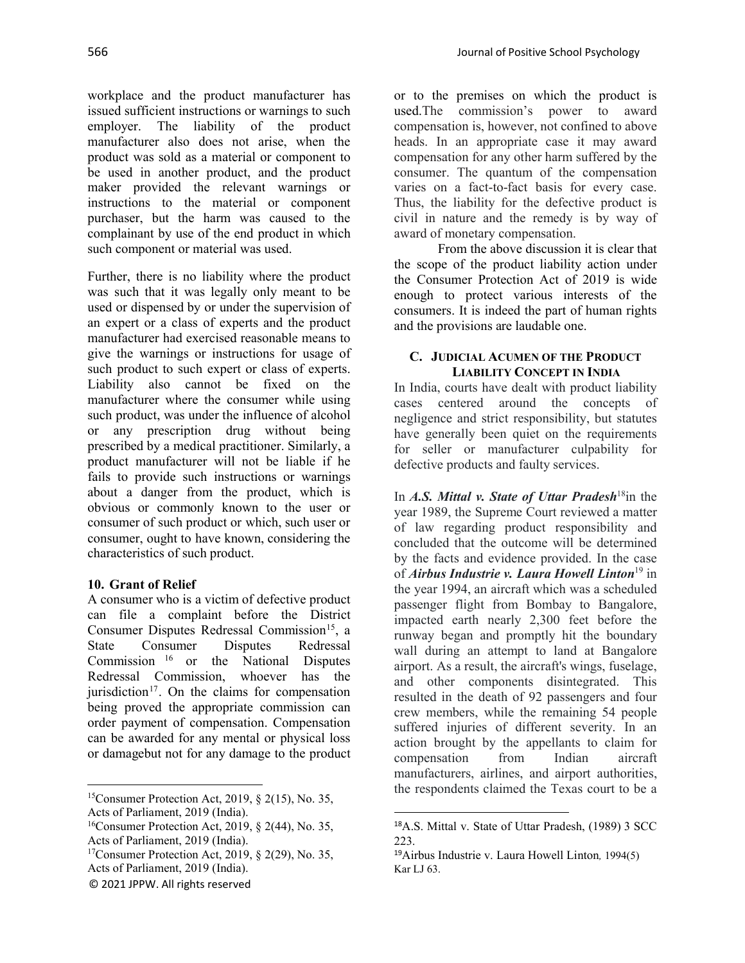workplace and the product manufacturer has issued sufficient instructions or warnings to such employer. The liability of the product manufacturer also does not arise, when the product was sold as a material or component to be used in another product, and the product maker provided the relevant warnings or instructions to the material or component purchaser, but the harm was caused to the complainant by use of the end product in which such component or material was used.

Further, there is no liability where the product was such that it was legally only meant to be used or dispensed by or under the supervision of an expert or a class of experts and the product manufacturer had exercised reasonable means to give the warnings or instructions for usage of such product to such expert or class of experts. Liability also cannot be fixed on the manufacturer where the consumer while using such product, was under the influence of alcohol or any prescription drug without being prescribed by a medical practitioner. Similarly, a product manufacturer will not be liable if he fails to provide such instructions or warnings about a danger from the product, which is obvious or commonly known to the user or consumer of such product or which, such user or consumer, ought to have known, considering the characteristics of such product.

### **10. Grant of Relief**

A consumer who is a victim of defective product can file a complaint before the District Consumer Disputes Redressal Commission<sup>15</sup>, a State Consumer Disputes Redressal Commission <sup>16</sup> or the National Disputes Redressal Commission, whoever has the jurisdiction<sup>17</sup>. On the claims for compensation being proved the appropriate commission can order payment of compensation. Compensation can be awarded for any mental or physical loss or damagebut not for any damage to the product

15Consumer Protection Act, 2019, § 2(15), No. 35, Acts of Parliament, 2019 (India).

16Consumer Protection Act, 2019, § 2(44), No. 35,

Acts of Parliament, 2019 (India).

<sup>17</sup>Consumer Protection Act, 2019,  $\S$  2(29), No. 35,

Acts of Parliament, 2019 (India).

© 2021 JPPW. All rights reserved

or to the premises on which the product is used.The commission's power to award compensation is, however, not confined to above heads. In an appropriate case it may award compensation for any other harm suffered by the consumer. The quantum of the compensation varies on a fact-to-fact basis for every case. Thus, the liability for the defective product is civil in nature and the remedy is by way of award of monetary compensation.

From the above discussion it is clear that the scope of the product liability action under the Consumer Protection Act of 2019 is wide enough to protect various interests of the consumers. It is indeed the part of human rights and the provisions are laudable one.

### **C. JUDICIAL ACUMEN OF THE PRODUCT LIABILITY CONCEPT IN INDIA**

In India, courts have dealt with product liability cases centered around the concepts of negligence and strict responsibility, but statutes have generally been quiet on the requirements for seller or manufacturer culpability for defective products and faulty services.

In *A.S. Mittal v. State of Uttar Pradesh*18in the year 1989, the Supreme Court reviewed a matter of law regarding product responsibility and concluded that the outcome will be determined by the facts and evidence provided. In the case of *Airbus Industrie v. Laura Howell Linton*<sup>19</sup> in the year 1994, an aircraft which was a scheduled passenger flight from Bombay to Bangalore, impacted earth nearly 2,300 feet before the runway began and promptly hit the boundary wall during an attempt to land at Bangalore airport. As a result, the aircraft's wings, fuselage, and other components disintegrated. This resulted in the death of 92 passengers and four crew members, while the remaining 54 people suffered injuries of different severity. In an action brought by the appellants to claim for compensation from Indian aircraft manufacturers, airlines, and airport authorities, the respondents claimed the Texas court to be a

<sup>18</sup>A.S. Mittal v. State of Uttar Pradesh, (1989) 3 SCC 223.

<sup>19</sup>Airbus Industrie v. Laura Howell Linton*,* 1994(5) Kar LJ 63.